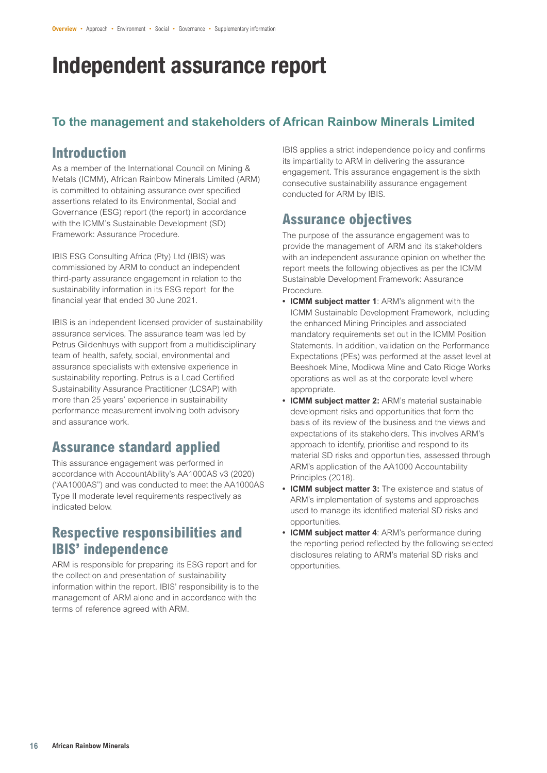# Independent assurance report

### **To the management and stakeholders of African Rainbow Minerals Limited**

# **Introduction**

As a member of the International Council on Mining & Metals (ICMM), African Rainbow Minerals Limited (ARM) is committed to obtaining assurance over specified assertions related to its Environmental, Social and Governance (ESG) report (the report) in accordance with the ICMM's Sustainable Development (SD) Framework: Assurance Procedure.

IBIS ESG Consulting Africa (Pty) Ltd (IBIS) was commissioned by ARM to conduct an independent third-party assurance engagement in relation to the sustainability information in its ESG report for the financial year that ended 30 June 2021.

IBIS is an independent licensed provider of sustainability assurance services. The assurance team was led by Petrus Gildenhuys with support from a multidisciplinary team of health, safety, social, environmental and assurance specialists with extensive experience in sustainability reporting. Petrus is a Lead Certified Sustainability Assurance Practitioner (LCSAP) with more than 25 years' experience in sustainability performance measurement involving both advisory and assurance work.

# **Assurance standard applied**

This assurance engagement was performed in accordance with AccountAbility's AA1000AS v3 (2020) ("AA1000AS") and was conducted to meet the AA1000AS Type II moderate level requirements respectively as indicated below.

## **Respective responsibilities and IBIS' independence**

ARM is responsible for preparing its ESG report and for the collection and presentation of sustainability information within the report. IBIS' responsibility is to the management of ARM alone and in accordance with the terms of reference agreed with ARM.

IBIS applies a strict independence policy and confirms its impartiality to ARM in delivering the assurance engagement. This assurance engagement is the sixth consecutive sustainability assurance engagement conducted for ARM by IBIS.

# **Assurance objectives**

The purpose of the assurance engagement was to provide the management of ARM and its stakeholders with an independent assurance opinion on whether the report meets the following objectives as per the ICMM Sustainable Development Framework: Assurance Procedure.

- **• ICMM subject matter 1**: ARM's alignment with the ICMM Sustainable Development Framework, including the enhanced Mining Principles and associated mandatory requirements set out in the ICMM Position Statements. In addition, validation on the Performance Expectations (PEs) was performed at the asset level at Beeshoek Mine, Modikwa Mine and Cato Ridge Works operations as well as at the corporate level where appropriate.
- **• ICMM subject matter 2:** ARM's material sustainable development risks and opportunities that form the basis of its review of the business and the views and expectations of its stakeholders. This involves ARM's approach to identify, prioritise and respond to its material SD risks and opportunities, assessed through ARM's application of the AA1000 Accountability Principles (2018).
- **• ICMM subject matter 3:** The existence and status of ARM's implementation of systems and approaches used to manage its identified material SD risks and opportunities.
- **• ICMM subject matter 4**: ARM's performance during the reporting period reflected by the following selected disclosures relating to ARM's material SD risks and opportunities.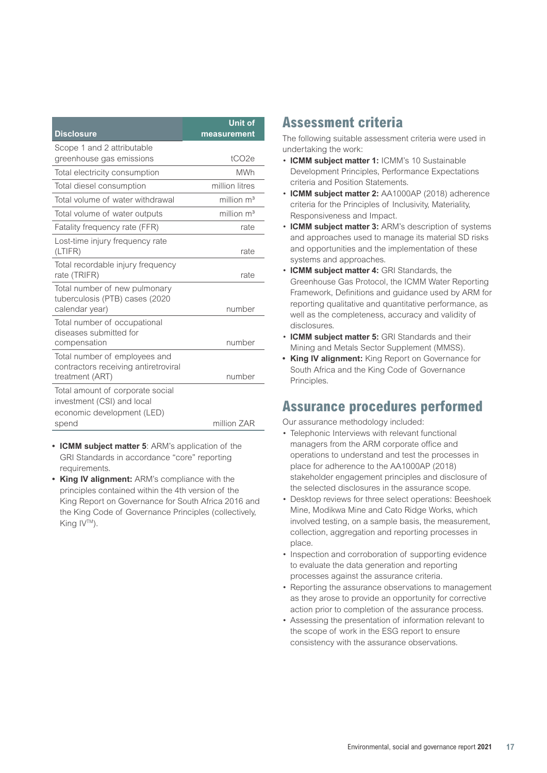| <b>Disclosure</b>                                                                                     | <b>Unit of</b><br>measurement |
|-------------------------------------------------------------------------------------------------------|-------------------------------|
| Scope 1 and 2 attributable                                                                            |                               |
| greenhouse gas emissions                                                                              | tCO <sub>2e</sub>             |
| Total electricity consumption                                                                         | <b>MWh</b>                    |
| Total diesel consumption                                                                              | million litres                |
| Total volume of water withdrawal                                                                      | million $m3$                  |
| Total volume of water outputs                                                                         | million $m3$                  |
| Fatality frequency rate (FFR)                                                                         | rate                          |
| Lost-time injury frequency rate<br>(LTIFR)                                                            | rate                          |
| Total recordable injury frequency<br>rate (TRIFR)                                                     | rate                          |
| Total number of new pulmonary<br>tuberculosis (PTB) cases (2020<br>calendar year)                     | number                        |
| Total number of occupational<br>diseases submitted for<br>compensation                                | number                        |
| Total number of employees and<br>contractors receiving antiretroviral<br>treatment (ART)              | number                        |
| Total amount of corporate social<br>investment (CSI) and local<br>economic development (LED)<br>spend | million ZAR                   |
|                                                                                                       |                               |

- **• ICMM subject matter 5**: ARM's application of the GRI Standards in accordance "core" reporting requirements.
- **• King IV alignment:** ARM's compliance with the principles contained within the 4th version of the King Report on Governance for South Africa 2016 and the King Code of Governance Principles (collectively, King IV™).

## **Assessment criteria**

The following suitable assessment criteria were used in undertaking the work:

- **ICMM subject matter 1:** ICMM's 10 Sustainable Development Principles, Performance Expectations criteria and Position Statements.
- **ICMM subject matter 2:** AA1000AP (2018) adherence criteria for the Principles of Inclusivity, Materiality, Responsiveness and Impact.
- **ICMM subject matter 3:** ARM's description of systems and approaches used to manage its material SD risks and opportunities and the implementation of these systems and approaches.
- **ICMM subject matter 4:** GRI Standards, the Greenhouse Gas Protocol, the ICMM Water Reporting Framework, Definitions and guidance used by ARM for reporting qualitative and quantitative performance, as well as the completeness, accuracy and validity of disclosures.
- **ICMM subject matter 5:** GRI Standards and their Mining and Metals Sector Supplement (MMSS).
- **• King IV alignment:** King Report on Governance for South Africa and the King Code of Governance Principles.

## **Assurance procedures performed**

Our assurance methodology included:

- Telephonic Interviews with relevant functional managers from the ARM corporate office and operations to understand and test the processes in place for adherence to the AA1000AP (2018) stakeholder engagement principles and disclosure of the selected disclosures in the assurance scope.
- Desktop reviews for three select operations: Beeshoek Mine, Modikwa Mine and Cato Ridge Works, which involved testing, on a sample basis, the measurement, collection, aggregation and reporting processes in place.
- Inspection and corroboration of supporting evidence to evaluate the data generation and reporting processes against the assurance criteria.
- Reporting the assurance observations to management as they arose to provide an opportunity for corrective action prior to completion of the assurance process.
- Assessing the presentation of information relevant to the scope of work in the ESG report to ensure consistency with the assurance observations.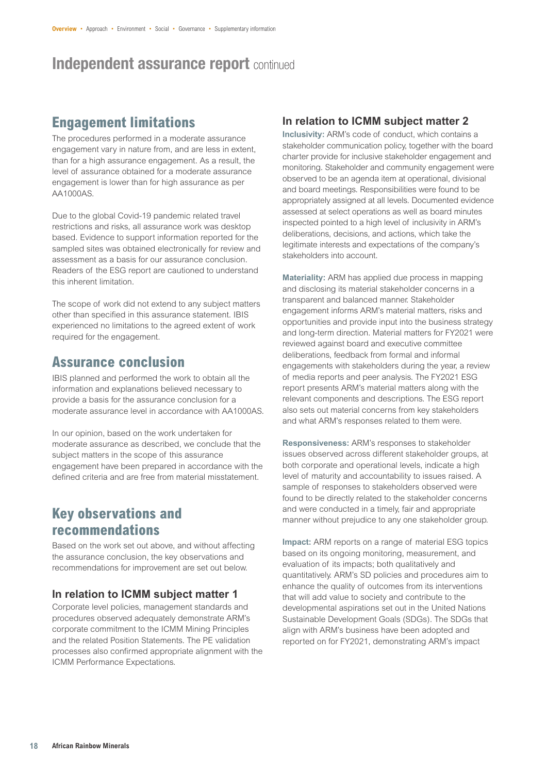# Independent assurance report continued

## **Engagement limitations**

The procedures performed in a moderate assurance engagement vary in nature from, and are less in extent, than for a high assurance engagement. As a result, the level of assurance obtained for a moderate assurance engagement is lower than for high assurance as per AA1000AS.

Due to the global Covid-19 pandemic related travel restrictions and risks, all assurance work was desktop based. Evidence to support information reported for the sampled sites was obtained electronically for review and assessment as a basis for our assurance conclusion. Readers of the ESG report are cautioned to understand this inherent limitation.

The scope of work did not extend to any subject matters other than specified in this assurance statement. IBIS experienced no limitations to the agreed extent of work required for the engagement.

## **Assurance conclusion**

IBIS planned and performed the work to obtain all the information and explanations believed necessary to provide a basis for the assurance conclusion for a moderate assurance level in accordance with AA1000AS.

In our opinion, based on the work undertaken for moderate assurance as described, we conclude that the subject matters in the scope of this assurance engagement have been prepared in accordance with the defined criteria and are free from material misstatement.

## **Key observations and recommendations**

Based on the work set out above, and without affecting the assurance conclusion, the key observations and recommendations for improvement are set out below.

#### **In relation to ICMM subject matter 1**

Corporate level policies, management standards and procedures observed adequately demonstrate ARM's corporate commitment to the ICMM Mining Principles and the related Position Statements. The PE validation processes also confirmed appropriate alignment with the ICMM Performance Expectations.

#### **In relation to ICMM subject matter 2**

**Inclusivity:** ARM's code of conduct, which contains a stakeholder communication policy, together with the board charter provide for inclusive stakeholder engagement and monitoring. Stakeholder and community engagement were observed to be an agenda item at operational, divisional and board meetings. Responsibilities were found to be appropriately assigned at all levels. Documented evidence assessed at select operations as well as board minutes inspected pointed to a high level of inclusivity in ARM's deliberations, decisions, and actions, which take the legitimate interests and expectations of the company's stakeholders into account.

**Materiality:** ARM has applied due process in mapping and disclosing its material stakeholder concerns in a transparent and balanced manner. Stakeholder engagement informs ARM's material matters, risks and opportunities and provide input into the business strategy and long-term direction. Material matters for FY2021 were reviewed against board and executive committee deliberations, feedback from formal and informal engagements with stakeholders during the year, a review of media reports and peer analysis. The FY2021 ESG report presents ARM's material matters along with the relevant components and descriptions. The ESG report also sets out material concerns from key stakeholders and what ARM's responses related to them were.

**Responsiveness:** ARM's responses to stakeholder issues observed across different stakeholder groups, at both corporate and operational levels, indicate a high level of maturity and accountability to issues raised. A sample of responses to stakeholders observed were found to be directly related to the stakeholder concerns and were conducted in a timely, fair and appropriate manner without prejudice to any one stakeholder group.

**Impact:** ARM reports on a range of material ESG topics based on its ongoing monitoring, measurement, and evaluation of its impacts; both qualitatively and quantitatively. ARM's SD policies and procedures aim to enhance the quality of outcomes from its interventions that will add value to society and contribute to the developmental aspirations set out in the United Nations Sustainable Development Goals (SDGs). The SDGs that align with ARM's business have been adopted and reported on for FY2021, demonstrating ARM's impact